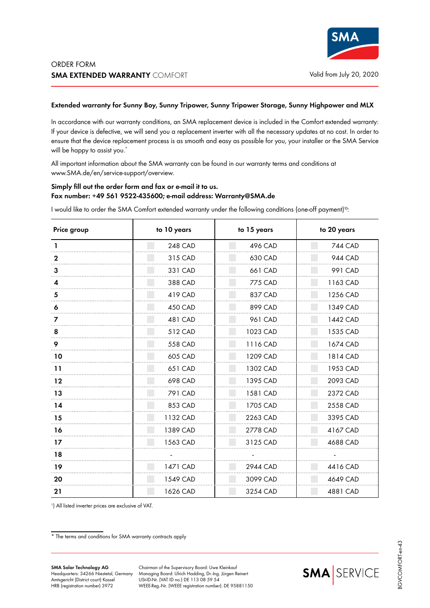## **Extended warranty for Sunny Boy, Sunny Tripower, Sunny Tripower Storage, Sunny Highpower and MLX**

In accordance with our warranty conditions, an SMA replacement device is included in the Comfort extended warranty: If your device is defective, we will send you a replacement inverter with all the necessary updates at no cost. In order to ensure that the device replacement process is as smooth and easy as possible for you, your installer or the SMA Service will be happy to assist you.<sup>\*</sup>

All important information about the SMA warranty can be found in our warranty terms and conditions at www.SMA.de/en/service-support/overview.

## **Simply fill out the order form and fax or e-mail it to us. Fax number: +49 561 9522-435600; e-mail address: Warranty@SMA.de**

I would like to order the SMA Comfort extended warranty under the following conditions (one-off payment)**1)**:

| Price group | to 10 years    | to 15 years | to 20 years    |
|-------------|----------------|-------------|----------------|
| L           | <b>248 CAD</b> | 496 CAD     | <b>744 CAD</b> |
| 2           | 315 CAD        | 630 CAD     | 944 CAD        |
| 3           | 331 CAD        | 661 CAD     | 991 CAD        |
| 4           | 388 CAD        | 775 CAD     | 1163 CAD       |
| 5           | 419 CAD        | 837 CAD     | 1256 CAD       |
| 6           | 450 CAD        | 899 CAD     | 1349 CAD       |
| 7           | 481 CAD        | 961 CAD     | 1442 CAD       |
| 8           | 512 CAD        | 1023 CAD    | 1535 CAD       |
| 9           | 558 CAD        | 1116 CAD    | 1674 CAD       |
| 10          | 605 CAD        | 1209 CAD    | 1814 CAD       |
| 11          | 651 CAD        | 1302 CAD    | 1953 CAD       |
| 12          | 698 CAD        | 1395 CAD    | 2093 CAD       |
| 13          | 791 CAD        | 1581 CAD    | 2372 CAD       |
| 14          | 853 CAD        | 1705 CAD    | 2558 CAD       |
| 15          | 1132 CAD       | 2263 CAD    | 3395 CAD       |
| 16          | 1389 CAD       | 2778 CAD    | 4167 CAD       |
| 17          | 1563 CAD       | 3125 CAD    | 4688 CAD       |
| 18          |                |             |                |
| 19          | 1471 CAD       | 2944 CAD    | 4416 CAD       |
| 20          | 1549 CAD       | 3099 CAD    | 4649 CAD       |
| 21          | 1626 CAD       | 3254 CAD    | 4881 CAD       |

1 ) All listed inverter prices are exclusive of VAT.

\* The terms and conditions for SMA warranty contracts apply

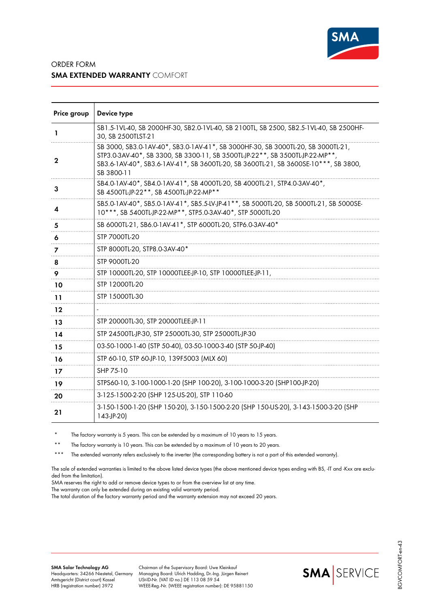

## ORDER FORM **SMA EXTENDED WARRANTY** COMFORT

| Price group | Device type                                                                                                                                                                                                                                                            |
|-------------|------------------------------------------------------------------------------------------------------------------------------------------------------------------------------------------------------------------------------------------------------------------------|
| L           | SB1.5-1VL-40, SB 2000HF-30, SB2.0-1VL-40, SB 2100TL, SB 2500, SB2.5-1VL-40, SB 2500HF-<br>30, SB 2500TLST-21                                                                                                                                                           |
| 2           | SB 3000, SB3.0-1AV-40*, SB3.0-1AV-41*, SB 3000HF-30, SB 3000TL-20, SB 3000TL-21,<br>STP3.0-3AV-40*, SB 3300, SB 3300-11, SB 3500TL-JP-22**, SB 3500TL-JP-22-MP**,<br>SB3.6-1AV-40*, SB3.6-1AV-41*, SB 3600TL-20, SB 3600TL-21, SB 3600SE-10***, SB 3800,<br>SB 3800-11 |
| 3           | SB4.0-1AV-40*, SB4.0-1AV-41*, SB 4000TL-20, SB 4000TL-21, STP4.0-3AV-40*,<br>SB 4500TL-JP-22**, SB 4500TL-JP-22-MP**                                                                                                                                                   |
| 4           | SB5.0-1AV-40*, SB5.0-1AV-41*, SB5.5-LV-JP-41**, SB 5000TL-20, SB 5000TL-21, SB 5000SE-<br>10***, SB 5400TL-JP-22-MP**, STP5.0-3AV-40*, STP 5000TL-20                                                                                                                   |
| 5           | SB 6000TL-21, SB6.0-1AV-41*, STP 6000TL-20, STP6.0-3AV-40*                                                                                                                                                                                                             |
| 6           | STP 7000TL-20                                                                                                                                                                                                                                                          |
| 7           | STP 8000TL-20, STP8.0-3AV-40*                                                                                                                                                                                                                                          |
| 8           | STP 9000TL-20                                                                                                                                                                                                                                                          |
| 9           | STP 10000TL-20, STP 10000TLEE-JP-10, STP 10000TLEE-JP-11,                                                                                                                                                                                                              |
| 10          | STP 12000TL-20                                                                                                                                                                                                                                                         |
| 11          | STP 15000TL-30                                                                                                                                                                                                                                                         |
| 12          |                                                                                                                                                                                                                                                                        |
| 13          | STP 20000TL-30, STP 20000TLEE-JP-11                                                                                                                                                                                                                                    |
| 14          | STP 24500TL-JP-30, STP 25000TL-30, STP 25000TL-JP-30                                                                                                                                                                                                                   |
| 15          | 03-50-1000-1-40 (STP 50-40), 03-50-1000-3-40 (STP 50-JP-40)                                                                                                                                                                                                            |
| 16          | STP 60-10, STP 60-JP-10, 139F5003 (MLX 60)                                                                                                                                                                                                                             |
| 17          | SHP 75-10                                                                                                                                                                                                                                                              |
| 19          | STPS60-10, 3-100-1000-1-20 (SHP 100-20), 3-100-1000-3-20 (SHP100-JP-20)                                                                                                                                                                                                |
| 20          | 3-125-1500-2-20 (SHP 125-US-20), STP 110-60                                                                                                                                                                                                                            |
| 21          | 3-150-1500-1-20 (SHP 150-20), 3-150-1500-2-20 (SHP 150-US-20), 3-143-1500-3-20 (SHP<br>143-JP-20)                                                                                                                                                                      |

The factory warranty is 5 years. This can be extended by a maximum of 10 years to 15 years.

The factory warranty is 10 years. This can be extended by a maximum of 10 years to 20 years.

\*\*\* The extended warranty refers exclusively to the inverter (the corresponding battery is not a part of this extended warranty).

The sale of extended warranties is limited to the above listed device types (the above mentioned device types ending with BS, -IT and -Kxx are excluded from the limitation).

SMA reserves the right to add or remove device types to or from the overview list at any time.

The warranty can only be extended during an existing valid warranty period.

The total duration of the factory warranty period and the warranty extension may not exceed 20 years.

Chairman of the Supervisory Board: Uwe Kleinkauf Managing Board: Ulrich Hadding, Dr.-Ing. Jürgen Reinert USt-ID-Nr. (VAT ID no.) DE 113 08 59 54 WEEE-Reg.-Nr. (WEEE registration number): DE 95881150